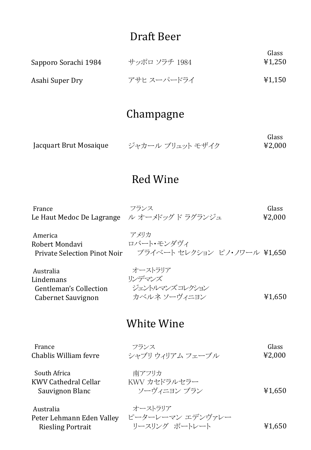## Draft Beer

| Sapporo Sorachi 1984 | サッポロ ソラチ 1984 | Glass<br>¥1,250 |
|----------------------|---------------|-----------------|
| Asahi Super Dry      | アサヒ スーパードライ   | ¥1,150          |

## Champagne

|                        |                  | Glass  |
|------------------------|------------------|--------|
| Jacquart Brut Mosaique | ジャカール ブリュット モザイク | 42,000 |

#### Red Wine

| France | フランス                                       | Glass  |
|--------|--------------------------------------------|--------|
|        | Le Haut Medoc De Lagrange ル オーメドッグド ラグランジュ | ¥2,000 |

| America                      | アメリカ                         |
|------------------------------|------------------------------|
| Robert Mondavi               | ロバート・モンダヴィ                   |
| Private Selection Pinot Noir | プライベート セレクション ピノ・ノワール ¥1,650 |

| オーストラリア        |        |
|----------------|--------|
| リンデマンズ         |        |
| ジェントルマンズコレクション |        |
| カベルネ ソーヴィニヨン   | ¥1,650 |
|                |        |

#### White Wine

| France                | フランス             | Glass  |
|-----------------------|------------------|--------|
| Chablis William fevre | シャブリ ウィリアム フェーブル | 42,000 |
|                       |                  |        |
| South Africa          | 南アフリカ            |        |
| KWV Cathedral Cellar  | KWV カセドラルセラー     |        |
| Sauvignon Blanc       | ソーヴィニヨン ブラン      | ¥1,650 |

Australia

Riesling Portrait

¥1,650 Peter Lehmann Eden Valley ピーターレーマン エデンヴァレー オーストラリア リースリング ポートレート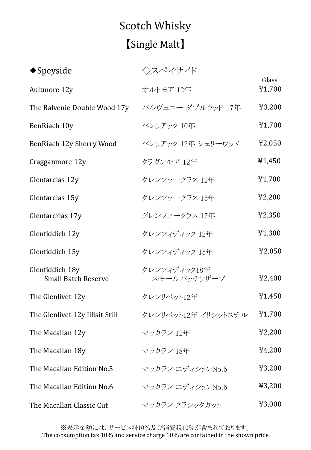# Scotch Whisky 【Single Malt】

| $\blacklozenge$ Speyside                      | ◇スペイサイド                     |                 |
|-----------------------------------------------|-----------------------------|-----------------|
| Aultmore 12y                                  | オルトモア 12年                   | Glass<br>¥1,700 |
| The Balvenie Double Wood 17y                  | バルヴェニー ダブルウッド 17年           | ¥3,200          |
| BenRiach 10y                                  | ベンリアック 10年                  | ¥1,700          |
| BenRiach 12y Sherry Wood                      | ベンリアック 12年 シェリーウッド          | ¥2,050          |
| Cragganmore 12y                               | クラガンモア 12年                  | ¥1,450          |
| Glenfarclas 12y                               | グレンファークラス 12年               | ¥1,700          |
| Glenfarclas 15y                               | グレンファークラス 15年               | 42,200          |
| Glenfarcrlas 17y                              | グレンファークラス 17年               | ¥2,350          |
| Glenfiddich 12y                               | グレンフィディック 12年               | ¥1,300          |
| Glenfiddich 15y                               | グレンフィディック 15年               | ¥2,050          |
| Glenfiddich 18y<br><b>Small Batch Reserve</b> | グレンフィディック18年<br>スモールバッチリザーブ | ¥2,400          |
| The Glenlivet 12y                             | グレンリベット12年                  | ¥1,450          |
| The Glenlivet 12y Illisit Still               | グレンリベット12年 イリシットスチル         | ¥1,700          |
| The Macallan 12y                              | マッカラン 12年                   | 42,200          |
| The Macallan 18y                              | マッカラン 18年                   | ¥4,200          |
| The Macallan Edition No.5                     | マッカラン エディションNo.5            | ¥3,200          |
| The Macallan Edition No.6                     | マッカラン エディションNo.6            | ¥3,200          |
| The Macallan Classic Cut                      | マッカラン クラシックカット              | ¥3,000          |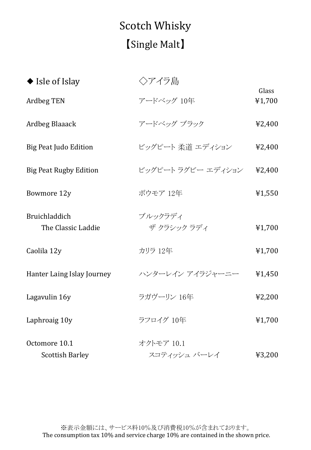# Scotch Whisky 【Single Malt】

| $\blacklozenge$ Isle of Islay           | ◇アイラ島                      |                 |
|-----------------------------------------|----------------------------|-----------------|
| <b>Ardbeg TEN</b>                       | アードベッグ 10年                 | Glass<br>¥1,700 |
| <b>Ardbeg Blaaack</b>                   | アードベッグ ブラック                | ¥2,400          |
| <b>Big Peat Judo Edition</b>            | ビッグピート 柔道 エディション           | ¥2,400          |
| <b>Big Peat Rugby Edition</b>           | ビッグピート ラグビー エディション         | ¥2,400          |
| Bowmore 12y                             | ボウモア 12年                   | ¥1,550          |
| Bruichladdich<br>The Classic Laddie     | ブルックラディ<br>ザ クラシック ラディ     | ¥1,700          |
| Caolila 12y                             | カリラ 12年                    | ¥1,700          |
| Hanter Laing Islay Journey              | ハンターレイン アイラジャーニー           | ¥1,450          |
| Lagavulin 16y                           | ラガヴーリン 16年                 | ¥2,200          |
| Laphroaig 10y                           | ラフロイグ 10年                  | ¥1,700          |
| Octomore 10.1<br><b>Scottish Barley</b> | オクトモア 10.1<br>スコティッシュ バーレイ | ¥3,200          |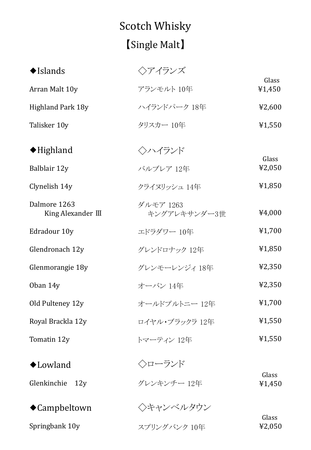# Scotch Whisky 【Single Malt】

| $\blacklozenge$ Islands              | ◇アイランズ                    |                 |
|--------------------------------------|---------------------------|-----------------|
| Arran Malt 10y                       | アランモルト 10年                | Glass<br>¥1,450 |
| <b>Highland Park 18y</b>             | ハイランドパーク 18年              | ¥2,600          |
| Talisker 10y                         | タリスカー 10年                 | ¥1,550          |
| $\blacklozenge$ Highland             | ◇ハイランド                    | Glass           |
| Balblair 12y                         | バルブレア 12年                 | ¥2,050          |
| Clynelish 14y                        | クライヌリッシュ 14年              | ¥1,850          |
| Dalmore 1263<br>King Alexander $III$ | ダルモア 1263<br>キングアレキサンダー3世 | ¥4,000          |
| Edradour 10y                         | エドラダワー 10年                | ¥1,700          |
| Glendronach 12y                      | グレンドロナック 12年              | ¥1,850          |
| Glenmorangie 18y                     | グレンモーレンジィ 18年             | ¥2,350          |
| Oban 14y                             | オーバン 14年                  | ¥2,350          |
| Old Pulteney 12y                     | オールドプルトニー 12年             | ¥1,700          |
| Royal Brackla 12y                    | ロイヤル・ブラックラ 12年            | ¥1,550          |
| Tomatin 12y                          | トマーティン 12年                | 41,550          |
| ◆Lowland                             | ◇ローランド                    |                 |
| Glenkinchie 12y                      | グレンキンチー 12年               | Glass<br>¥1,450 |
| ◆Campbeltown                         | ◇キャンベルタウン                 |                 |
| Springbank 10y                       | スプリングバンク 10年              | Glass<br>¥2,050 |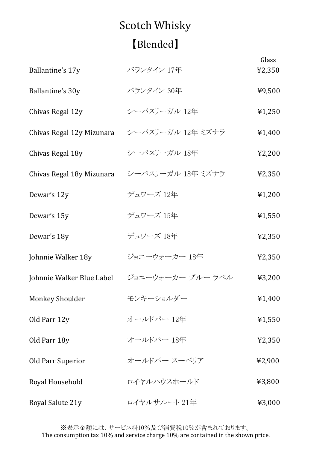# Scotch Whisky 【Blended】

| Ballantine's 17y          | バランタイン 17年                                | Glass<br>¥2,350 |
|---------------------------|-------------------------------------------|-----------------|
|                           |                                           |                 |
| Ballantine's 30y          | バランタイン 30年                                | ¥9,500          |
| Chivas Regal 12y          | シーバスリーガル 12年                              | ¥1,250          |
| Chivas Regal 12y Mizunara | シーバスリーガル 12年 ミズナラ                         | ¥1,400          |
| Chivas Regal 18y          | シーバスリーガル 18年                              | 42,200          |
| Chivas Regal 18y Mizunara | シーバスリーガル 18年 ミズナラ                         | ¥2,350          |
| Dewar's 12y               | デュワーズ 12年                                 | 41,200          |
| Dewar's 15y               | デュワーズ 15年                                 | ¥1,550          |
| Dewar's 18y               | デュワーズ 18年                                 | ¥2,350          |
| Johnnie Walker 18y        | ジョニーウォーカー 18年                             | ¥2,350          |
|                           | Johnnie Walker Blue Label ジョニーウォーカーブルーラベル | ¥3,200          |
| <b>Monkey Shoulder</b>    | モンキーショルダー                                 | ¥1,400          |
| Old Parr 12y              | オールドパー 12年                                | ¥1,550          |
| Old Parr 18y              | オールドパー 18年                                | ¥2,350          |
| <b>Old Parr Superior</b>  | オールドパー スーペリア                              | ¥2,900          |
| Royal Household           | ロイヤルハウスホールド                               | ¥3,800          |
| Royal Salute 21y          | ロイヤルサルート 21年                              | ¥3,000          |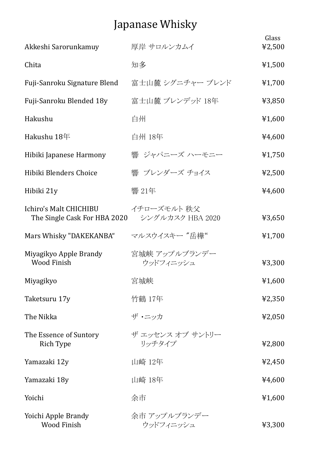## Japanase Whisky

| Akkeshi Sarorunkamuy                                                    | 厚岸 サロルンカムイ                 | Glass<br>¥2,500 |
|-------------------------------------------------------------------------|----------------------------|-----------------|
|                                                                         |                            |                 |
| Chita                                                                   | 知多                         | ¥1,500          |
| Fuji-Sanroku Signature Blend                                            | 富士山麓 シグニチャー ブレンド           | ¥1,700          |
| Fuji-Sanroku Blended 18y                                                | 富士山麓 ブレンデッド 18年            | ¥3,850          |
| Hakushu                                                                 | 白州                         | ¥1,600          |
| Hakushu 18年                                                             | 白州 18年                     | ¥4,600          |
| Hibiki Japanese Harmony                                                 | 響 ジャパニーズ ハーモニー             | ¥1,750          |
| Hibiki Blenders Choice                                                  | 響 ブレンダーズ チョイス              | ¥2,500          |
| Hibiki 21y                                                              | 響 21年                      | ¥4,600          |
| Ichiro's Malt CHICHIBU<br>The Single Cask For HBA 2020 シングルカスク HBA 2020 | イチローズモルト 秩父                | ¥3,650          |
| Mars Whisky "DAKEKANBA"                                                 | マルスウイスキー "岳樺"              | ¥1,700          |
| Miyagikyo Apple Brandy<br><b>Wood Finish</b>                            | 宮城峡 アップルブランデー<br>ウッドフィニッシュ | ¥3,300          |
| Miyagikyo                                                               | 宮城峡                        | ¥1,600          |
| Taketsuru 17y                                                           | 竹鶴 17年                     | ¥2,350          |
| The Nikka                                                               | ザ・ニッカ                      | ¥2,050          |
| The Essence of Suntory<br>Rich Type                                     | ザ エッセンス オブ サントリー<br>リッチタイプ | ¥2,800          |
| Yamazaki 12y                                                            | 山崎 12年                     | ¥2,450          |
| Yamazaki 18y                                                            | 山崎 18年                     | ¥4,600          |
| Yoichi                                                                  | 余市                         | ¥1,600          |
| Yoichi Apple Brandy<br><b>Wood Finish</b>                               | 余市 アップルブランデー<br>ウッドフィニッシュ  | ¥3,300          |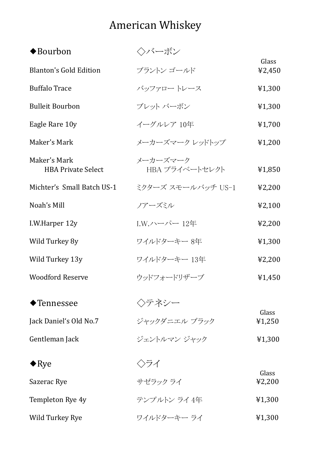## American Whiskey

| $\blacklozenge$ Bourbon                   | ◇バーボン                      |                 |
|-------------------------------------------|----------------------------|-----------------|
| <b>Blanton's Gold Edition</b>             | ブラントン ゴールド                 | Glass<br>¥2,450 |
| <b>Buffalo Trace</b>                      | バッファロー トレース                | ¥1,300          |
| <b>Bulleit Bourbon</b>                    | ブレット バーボン                  | ¥1,300          |
| Eagle Rare 10y                            | イーグルレア 10年                 | ¥1,700          |
| Maker's Mark                              | メーカーズマーク レッドトップ            | 41,200          |
| Maker's Mark<br><b>HBA Private Select</b> | メーカーズマーク<br>HBA プライベートセレクト | ¥1,850          |
| Michter's Small Batch US-1                | ミクターズ スモールバッチ US-1         | ¥2,200          |
| Noah's Mill                               | ノアーズミル                     | ¥2,100          |
| I.W.Harper 12y                            | I.W.ハーパー 12年               | ¥2,200          |
| Wild Turkey 8y                            | ワイルドターキー 8年                | ¥1,300          |
| Wild Turkey 13y                           | ワイルドターキー 13年               | 42,200          |
| <b>Woodford Reserve</b>                   | ウッドフォードリザーブ                | ¥1,450          |
| $\blacklozenge$ Tennessee                 | ◇テネシー                      |                 |
| Jack Daniel's Old No.7                    | ジャックダニエル ブラック              | Glass<br>¥1,250 |
| Gentleman Jack                            | ジェントルマン ジャック               | 41,300          |
| $\blacklozenge$ Rye                       | 〈〉ライ                       |                 |
| Sazerac Rye                               | サゼラック ライ                   | Glass<br>¥2,200 |
| Templeton Rye 4y                          | テンプルトン ライ 4年               | ¥1,300          |
| Wild Turkey Rye                           | ワイルドターキー ライ                | 41,300          |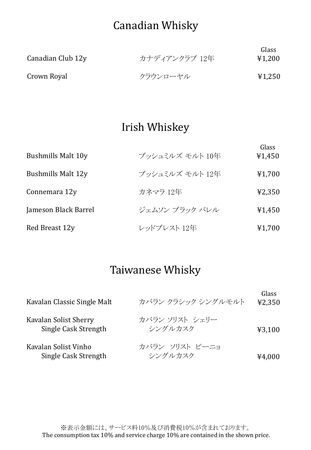## Canadian Whisky

| Canadian Club 12y | カナディアンクラブ 12年 | Glass<br>¥1,200 |
|-------------------|---------------|-----------------|
| Crown Royal       | クラウンローヤル      | 41,250          |

### Irish Whiskey

| <b>Bushmills Malt 10y</b> | ブッシュミルズ モルト 10年 | Glass<br>¥1,450 |
|---------------------------|-----------------|-----------------|
| Bushmills Malt 12y        | ブッシュミルズ モルト 12年 | ¥1,700          |
| Connemara 12y             | カネマラ 12年        | 42,350          |
| Jameson Black Barrel      | ジェムソン ブラック バレル  | ¥1,450          |
| Red Breast 12y            | レッドブレスト 12年     | ¥1,700          |

### Taiwanese Whisky

| Kavalan Classic Single Malt                   | カバラン クラシック シングルモルト        | Glass<br>42,350 |
|-----------------------------------------------|---------------------------|-----------------|
| Kavalan Solist Sherry<br>Single Cask Strength | カバラン ソリスト シェリー<br>シングルカスク | 43,100          |
| Kavalan Solist Vinho<br>Single Cask Strength  | カバラン ソリスト ビーニョ<br>シングルカスク | ¥4,000          |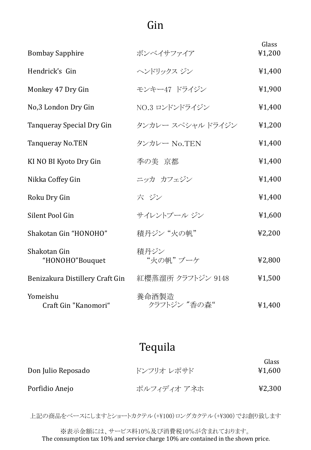## Gin

| <b>Bombay Sapphire</b>           | ボンベイサファイア             | Glass<br>¥1,200 |
|----------------------------------|-----------------------|-----------------|
| Hendrick's Gin                   | ヘンドリックス ジン            | ¥1,400          |
| Monkey 47 Dry Gin                | モンキー47 ドライジン          | ¥1,900          |
| No,3 London Dry Gin              | NO.3 ロンドンドライジン        | ¥1,400          |
| Tanqueray Special Dry Gin        | タンカレー スペシャル ドライジン     | ¥1,200          |
| <b>Tanqueray No.TEN</b>          | タンカレー No.TEN          | ¥1,400          |
| KI NO BI Kyoto Dry Gin           | 季の美 京都                | ¥1,400          |
| Nikka Coffey Gin                 | ニッカ カフェジン             | ¥1,400          |
| Roku Dry Gin                     | 六 ジン                  | ¥1,400          |
| Silent Pool Gin                  | サイレントプール ジン           | ¥1,600          |
| Shakotan Gin "HONOHO"            | 積丹ジン "火の帆"            | ¥2,200          |
| Shakotan Gin<br>"HONOHO"Bouquet  | 積丹ジン<br>"火の帆"ブーケ      | ¥2,800          |
| Benizakura Distillery Craft Gin  | 紅櫻蒸溜所 クラフトジン 9148     | ¥1,500          |
| Yomeishu<br>Craft Gin "Kanomori" | 養命酒製造<br>クラフトジン "香の森" | ¥1,400          |

## Tequila

| Don Julio Reposado | ドンフリオ レポサド  | Glass<br>¥1,600 |
|--------------------|-------------|-----------------|
| Porfidio Anejo     | ポルフィディオ アネホ | 42,300          |

上記の商品をベースにしますとショートカクテル(+¥100)ロングカクテル(+¥300)でお創り致します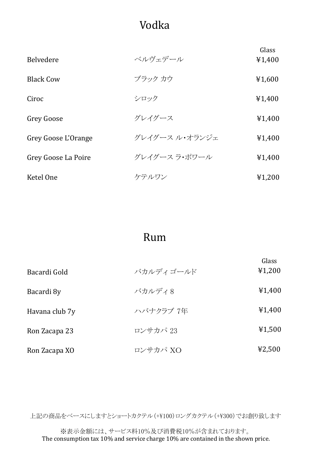## Vodka

| <b>Belvedere</b>    | ベルヴェデール        | Glass<br>¥1,400 |
|---------------------|----------------|-----------------|
| <b>Black Cow</b>    | ブラック カウ        | ¥1,600          |
| Ciroc               | シロック           | ¥1,400          |
| <b>Grey Goose</b>   | グレイグース         | ¥1,400          |
| Grey Goose L'Orange | グレイグース ル・オランジェ | ¥1,400          |
| Grey Goose La Poire | グレイグース ラ・ポワール  | ¥1,400          |
| Ketel One           | ケテルワン          | 41,200          |

## Rum

| Bacardi Gold   | バカルディゴールド | Glass<br>¥1,200 |
|----------------|-----------|-----------------|
| Bacardi 8y     | バカルディ8    | ¥1,400          |
| Havana club 7y | ハバナクラブ 7年 | ¥1,400          |
| Ron Zacapa 23  | ロンサカパ 23  | ¥1,500          |
| Ron Zacapa XO  | ロンサカパ XO  | 42,500          |

上記の商品をベースにしますとショートカクテル(+¥100)ロングカクテル(+¥300)でお創り致します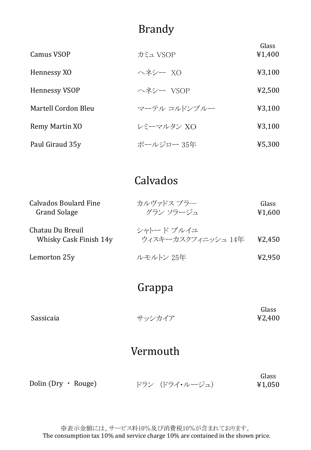### Brandy

| Camus VSOP           | カミュ VSOP     | Glass<br>¥1,400 |
|----------------------|--------------|-----------------|
| Hennessy XO          | ヘネシー XO      | 43,100          |
| <b>Hennessy VSOP</b> | ヘネシー VSOP    | ¥2,500          |
| Martell Cordon Bleu  | マーテル コルドンブルー | 43,100          |
| Remy Martin XO       | レミーマルタン XO   | 43,100          |
| Paul Giraud 35y      | ポールジロー 35年   | ¥5,300          |

## Calvados

| <b>Calvados Boulard Fine</b><br><b>Grand Solage</b> | カルヴァドス ブラー<br>グラン ソラージュ         | Glass<br>¥1,600 |
|-----------------------------------------------------|---------------------------------|-----------------|
| Chatau Du Breuil<br>Whisky Cask Finish 14y          | シャトードブルイユ<br>ウィスキーカスクフィニッシュ 14年 | ¥2.450          |
| Lemorton 25y                                        | ルモルトン 25年                       | 42,950          |

#### Grappa

| Glass            |
|------------------|
| ¥2,400<br>サッシカイア |
|                  |

### Vermouth

|                           |                | Glass  |
|---------------------------|----------------|--------|
| Dolin (Dry $\cdot$ Rouge) | ドラン (ドライ・ルージュ) | ¥1,050 |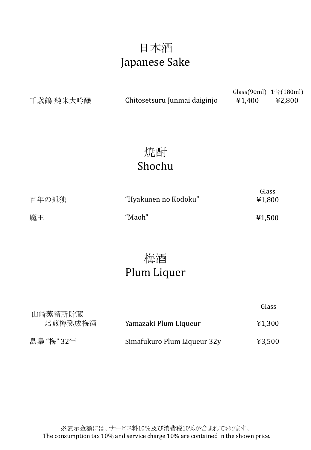## 日本酒 Japanese Sake

千歳鶴 純米大吟醸

Chitosetsuru Junmai daiginjo ¥1,400 ¥2,800

Glass(90ml) 1合(180ml)

Class

## 焼酎 Shochu

| 百年の孤独 | "Hyakunen no Kodoku" | Glass<br>¥1,800 |
|-------|----------------------|-----------------|
| 魔王    | "Maoh"               | ¥1,500          |

## 梅酒 Plum Liquer

| 山崎蒸留所貯蔵    |                             | uldəə  |
|------------|-----------------------------|--------|
| 焙煎樽熟成梅酒    | Yamazaki Plum Liqueur       | ¥1,300 |
| 島梟 "梅" 32年 | Simafukuro Plum Liqueur 32y | ¥3,500 |